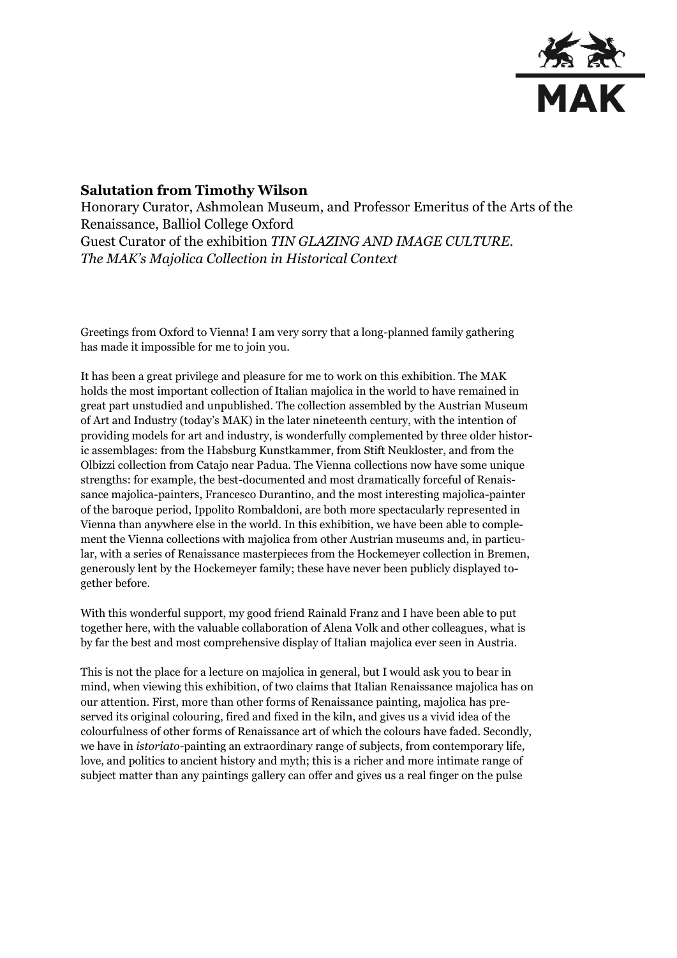

## **Salutation from Timothy Wilson**

Honorary Curator, Ashmolean Museum, and Professor Emeritus of the Arts of the Renaissance, Balliol College Oxford Guest Curator of the exhibition *TIN GLAZING AND IMAGE CULTURE. The MAK's Majolica Collection in Historical Context* 

Greetings from Oxford to Vienna! I am very sorry that a long-planned family gathering has made it impossible for me to join you.

It has been a great privilege and pleasure for me to work on this exhibition. The MAK holds the most important collection of Italian majolica in the world to have remained in great part unstudied and unpublished. The collection assembled by the Austrian Museum of Art and Industry (today's MAK) in the later nineteenth century, with the intention of providing models for art and industry, is wonderfully complemented by three older historic assemblages: from the Habsburg Kunstkammer, from Stift Neukloster, and from the Olbizzi collection from Catajo near Padua. The Vienna collections now have some unique strengths: for example, the best-documented and most dramatically forceful of Renaissance majolica-painters, Francesco Durantino, and the most interesting majolica-painter of the baroque period, Ippolito Rombaldoni, are both more spectacularly represented in Vienna than anywhere else in the world. In this exhibition, we have been able to complement the Vienna collections with majolica from other Austrian museums and, in particular, with a series of Renaissance masterpieces from the Hockemeyer collection in Bremen, generously lent by the Hockemeyer family; these have never been publicly displayed together before.

With this wonderful support, my good friend Rainald Franz and I have been able to put together here, with the valuable collaboration of Alena Volk and other colleagues, what is by far the best and most comprehensive display of Italian majolica ever seen in Austria.

This is not the place for a lecture on majolica in general, but I would ask you to bear in mind, when viewing this exhibition, of two claims that Italian Renaissance majolica has on our attention. First, more than other forms of Renaissance painting, majolica has preserved its original colouring, fired and fixed in the kiln, and gives us a vivid idea of the colourfulness of other forms of Renaissance art of which the colours have faded. Secondly, we have in *istoriato-*painting an extraordinary range of subjects, from contemporary life, love, and politics to ancient history and myth; this is a richer and more intimate range of subject matter than any paintings gallery can offer and gives us a real finger on the pulse